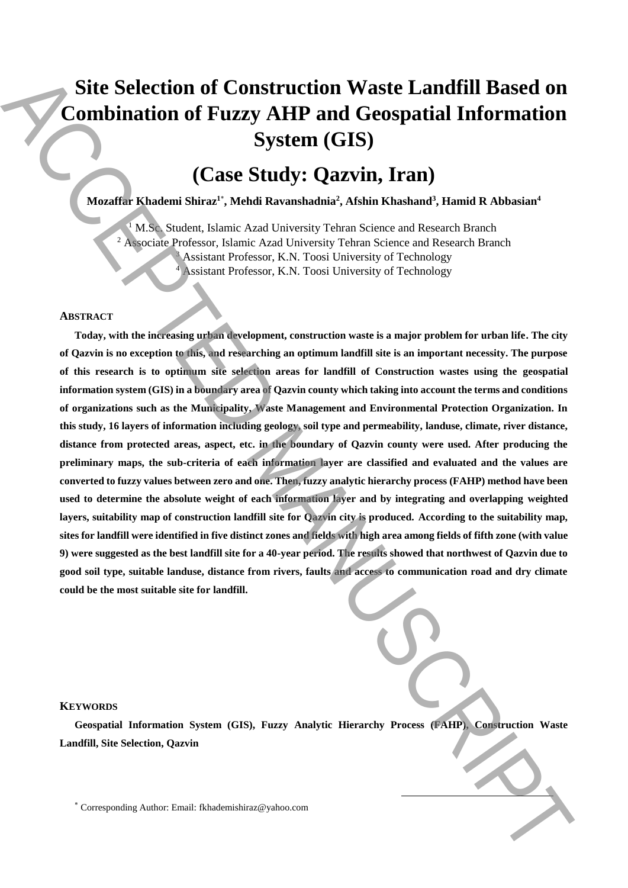# **Site Selection of Construction Waste Landfill Based on Combination of Fuzzy AHP and Geospatial Information System (GIS)**

# **(Case Study: Qazvin, Iran)**

**Mozaffar Khademi Shiraz<sup>1</sup>**\* **, Mehdi Ravanshadnia<sup>2</sup> , Afshin Khashand<sup>3</sup> , Hamid R Abbasian<sup>4</sup>**

<sup>1</sup> M.Sc. Student, Islamic Azad University Tehran Science and Research Branch <sup>2</sup> Associate Professor, Islamic Azad University Tehran Science and Research Branch Assistant Professor, K.N. Toosi University of Technology <sup>3</sup> <sup>4</sup> Assistant Professor, K.N. Toosi University of Technology

## **ABSTRACT**

**Today, with the increasing urban development, construction waste is a major problem for urban life. The city of Qazvin is no exception to this, and researching an optimum landfill site is an important necessity. The purpose of this research is to optimum site selection areas for landfill of Construction wastes using the geospatial information system (GIS) in a boundary area of Qazvin county which taking into account the terms and conditions of organizations such as the Municipality, Waste Management and Environmental Protection Organization. In this study, 16 layers of information including geology, soil type and permeability, landuse, climate, river distance, distance from protected areas, aspect, etc. in the boundary of Qazvin county were used. After producing the preliminary maps, the sub-criteria of each information layer are classified and evaluated and the values are converted to fuzzy values between zero and one. Then, fuzzy analytic hierarchy process (FAHP) method have been used to determine the absolute weight of each information layer and by integrating and overlapping weighted layers, suitability map of construction landfill site for Qazvin city is produced. According to the suitability map, sites for landfill were identified in five distinct zones and fields with high area among fields of fifth zone (with value 9) were suggested as the best landfill site for a 40-year period. The results showed that northwest of Qazvin due to good soil type, suitable landuse, distance from rivers, faults and access to communication road and dry climate could be the most suitable site for landfill.** Site Selection of Construction Waste Landfill Based on<br>
Corresponding Author: Corresponding Author: Corresponding Author: Case Study: Case Study: Case Study: Case Study: Case Study: Case Study: Case Study: Case Study: Cas

#### **KEYWORDS**

**Geospatial Information System (GIS), Fuzzy Analytic Hierarchy Process (FAHP), Construction Waste Landfill, Site Selection, Qazvin**

-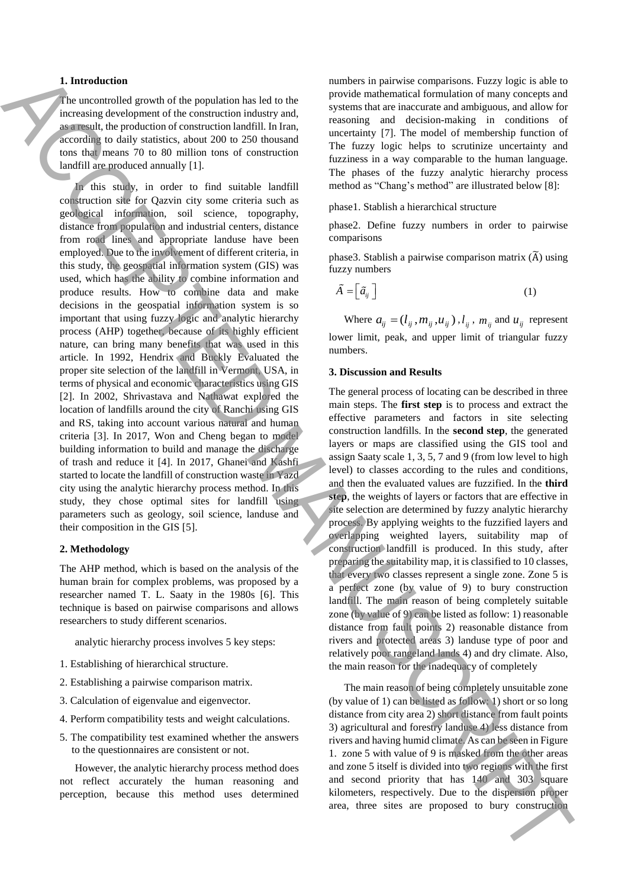### **1. Introduction**

The uncontrolled growth of the population has led to the increasing development of the construction industry and, as a result, the production of construction landfill. In Iran, according to daily statistics, about 200 to 250 thousand tons that means 70 to 80 million tons of construction landfill are produced annually [1].

In this study, in order to find suitable landfill construction site for Qazvin city some criteria such as geological information, soil science, topography, distance from population and industrial centers, distance from road lines and appropriate landuse have been employed. Due to the involvement of different criteria, in this study, the geospatial information system (GIS) was used, which has the ability to combine information and produce results. How to combine data and make decisions in the geospatial information system is so important that using fuzzy logic and analytic hierarchy process (AHP) together, because of its highly efficient nature, can bring many benefits that was used in this article. In 1992, Hendrix and Buckly Evaluated the proper site selection of the landfill in Vermont, USA, in terms of physical and economic characteristics using GIS [2]. In 2002, Shrivastava and Nathawat explored the location of landfills around the city of Ranchi using GIS and RS, taking into account various natural and human criteria [3]. In 2017, Won and Cheng began to model building information to build and manage the discharge of trash and reduce it [4]. In 2017, Ghanei and Kashfi started to locate the landfill of construction waste in Yazd city using the analytic hierarchy process method. In this study, they chose optimal sites for landfill using parameters such as geology, soil science, landuse and their composition in the GIS [5]. A reason distributed for experimental the total manner in proposed to bury construction and the experimental the construction and the experimental the experimental the experimental the experimental the experimental the ex

### **2. Methodology**

The AHP method, which is based on the analysis of the human brain for complex problems, was proposed by a researcher named T. L. Saaty in the 1980s [6]. This technique is based on pairwise comparisons and allows researchers to study different scenarios.

analytic hierarchy process involves 5 key steps:

- 1. Establishing of hierarchical structure.
- 2. Establishing a pairwise comparison matrix.
- 3. Calculation of eigenvalue and eigenvector.
- 4. Perform compatibility tests and weight calculations.
- 5. The compatibility test examined whether the answers to the questionnaires are consistent or not.

However, the analytic hierarchy process method does not reflect accurately the human reasoning and perception, because this method uses determined numbers in pairwise comparisons. Fuzzy logic is able to provide mathematical formulation of many concepts and systems that are inaccurate and ambiguous, and allow for reasoning and decision-making in conditions of uncertainty [7]. The model of membership function of The fuzzy logic helps to scrutinize uncertainty and fuzziness in a way comparable to the human language. The phases of the fuzzy analytic hierarchy process method as "Chang's method" are illustrated below [8]:

phase1. Stablish a hierarchical structure

phase2. Define fuzzy numbers in order to pairwise comparisons

phase3. Stablish a pairwise comparison matrix  $(\widetilde{A})$  using fuzzy numbers

$$
\tilde{A} = \left[ \tilde{a}_{ij} \right] \tag{1}
$$

Where  $a_{ij} = (l_{ij}, m_{ij}, u_{ij})$ ,  $l_{ij}$ ,  $m_{ij}$  and  $u_{ij}$  represent lower limit, peak, and upper limit of triangular fuzzy numbers.

#### **3. Discussion and Results**

The general process of locating can be described in three main steps. The **first step** is to process and extract the effective parameters and factors in site selecting construction landfills. In the **second step**, the generated layers or maps are classified using the GIS tool and assign Saaty scale 1, 3, 5, 7 and 9 (from low level to high level) to classes according to the rules and conditions, and then the evaluated values are fuzzified. In the **third step**, the weights of layers or factors that are effective in site selection are determined by fuzzy analytic hierarchy process. By applying weights to the fuzzified layers and overlapping weighted layers, suitability map of construction landfill is produced. In this study, after preparing the suitability map, it is classified to 10 classes, that every two classes represent a single zone. Zone 5 is a perfect zone (by value of 9) to bury construction landfill. The main reason of being completely suitable zone (by value of 9) can be listed as follow: 1) reasonable distance from fault points 2) reasonable distance from rivers and protected areas 3) landuse type of poor and relatively poor rangeland lands 4) and dry climate. Also, the main reason for the inadequacy of completely

The main reason of being completely unsuitable zone (by value of 1) can be listed as follow: 1) short or so long distance from city area 2) short distance from fault points 3) agricultural and forestry landuse 4) less distance from rivers and having humid climate. As can be seen in Figure 1. zone 5 with value of 9 is masked from the other areas and zone 5 itself is divided into two regions with the first and second priority that has 140 and 303 square kilometers, respectively. Due to the dispersion proper